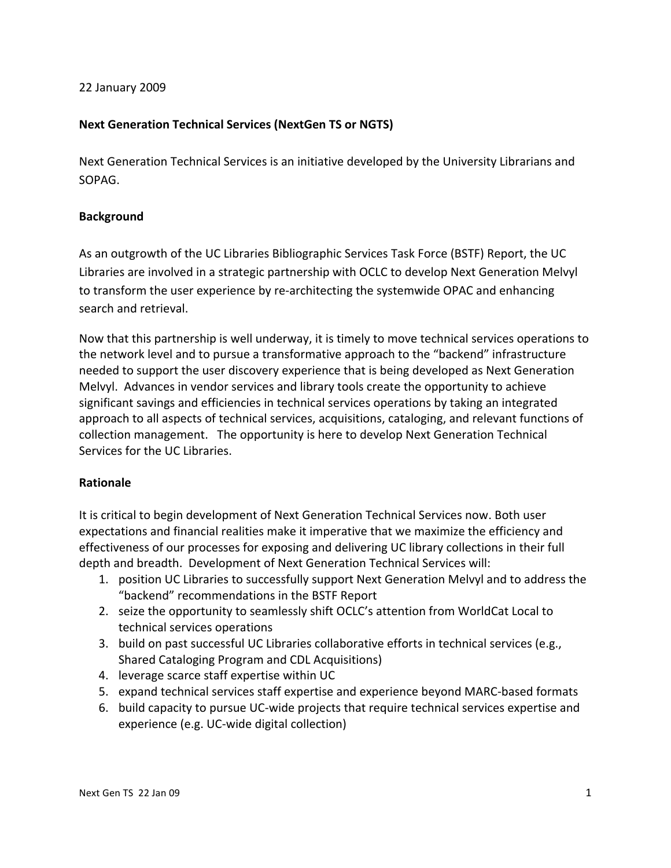#### 22
January
2009

## Next Generation Technical Services (NextGen TS or NGTS)

Next Generation Technical Services is an initiative developed by the University Librarians and SOPAG.

#### **Background**

As
an
outgrowth
of
the
UC
Libraries
Bibliographic
Services
Task
Force
(BSTF)
Report,
the
UC Libraries are involved in a strategic partnership with OCLC to develop Next Generation Melvyl to transform the user experience by re-architecting the systemwide OPAC and enhancing search
and
retrieval.

Now that this partnership is well underway, it is timely to move technical services operations to the
network
level
and
to
pursue
a
transformative
approach
to
the
"backend"
infrastructure needed
to
support
the
user
discovery
experience
that
is
being
developed
as
Next
Generation Melvyl. Advances in vendor services and library tools create the opportunity to achieve significant savings and efficiencies in technical services operations by taking an integrated approach to all aspects of technical services, acquisitions, cataloging, and relevant functions of collection
management.

The
opportunity
is
here
to
develop
Next
Generation
Technical Services
for
the
UC
Libraries.

### **Rationale**

It is critical to begin development of Next Generation Technical Services now. Both user expectations and financial realities make it imperative that we maximize the efficiency and effectiveness of our processes for exposing and delivering UC library collections in their full depth
and
breadth.

Development
of
Next
Generation
Technical
Services
will:

- 1. position UC Libraries to successfully support Next Generation Melvyl and to address the "backend"
recommendations
in
the
BSTF
Report
- 2. seize the opportunity to seamlessly shift OCLC's attention from WorldCat Local to technical
services
operations
- 3. build
on
past
successful
UC
Libraries
collaborative
efforts
in
technical
services
(e.g., Shared
Cataloging
Program
and
CDL
Acquisitions)
- 4. leverage
scarce
staff
expertise
within
UC
- 5. expand technical services staff expertise and experience beyond MARC-based formats
- 6. build
capacity
to
pursue
UC‐wide
projects
that
require
technical
services
expertise
and experience
(e.g.
UC‐wide
digital
collection)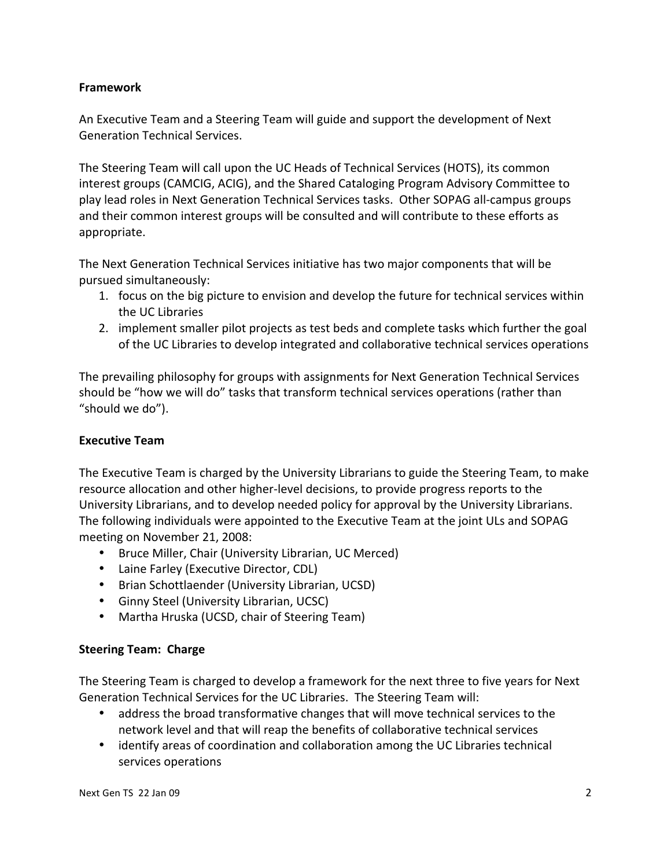# **Framework**

An
Executive
Team
and
a
Steering
Team
will
guide
and
support
the
development
of
Next Generation
Technical
Services.

The Steering Team will call upon the UC Heads of Technical Services (HOTS), its common interest
groups
(CAMCIG,
ACIG),
and
the
Shared
Cataloging
Program
Advisory
Committee to play
lead
roles
in
Next
Generation
Technical
Services
tasks.

Other
SOPAG
all‐campus
groups and their common interest groups will be consulted and will contribute to these efforts as appropriate.

The
Next
Generation
Technical
Services
initiative
has
two
major
components
that
will
be pursued
simultaneously:

- 1. focus on the big picture to envision and develop the future for technical services within the
UC
Libraries
- 2. Implement smaller pilot projects as test beds and complete tasks which further the goal of
the
UC
Libraries
to
develop
integrated
and
collaborative
technical
services
operations

The prevailing philosophy for groups with assignments for Next Generation Technical Services should be "how we will do" tasks that transform technical services operations (rather than "should we do").

# **Executive
Team**

The Executive Team is charged by the University Librarians to guide the Steering Team, to make resource allocation and other higher-level decisions, to provide progress reports to the University Librarians, and to develop needed policy for approval by the University Librarians. The
following
individuals
were
appointed
to
the
Executive
Team
at
the
joint
ULs
and
SOPAG meeting
on
November
21,
2008:

- Bruce Miller, Chair (University Librarian, UC Merced)
- Laine Farley (Executive Director, CDL)
- Brian
Schottlaender
(University
Librarian,
UCSD)
- Ginny
Steel
(University
Librarian,
UCSC)
- Martha
Hruska
(UCSD,
chair
of
Steering
Team)

### **Steering
Team:

Charge**

The Steering Team is charged to develop a framework for the next three to five years for Next Generation Technical Services for the UC Libraries. The Steering Team will:

- address the broad transformative changes that will move technical services to the network level and that will reap the benefits of collaborative technical services
- identify areas of coordination and collaboration among the UC Libraries technical services
operations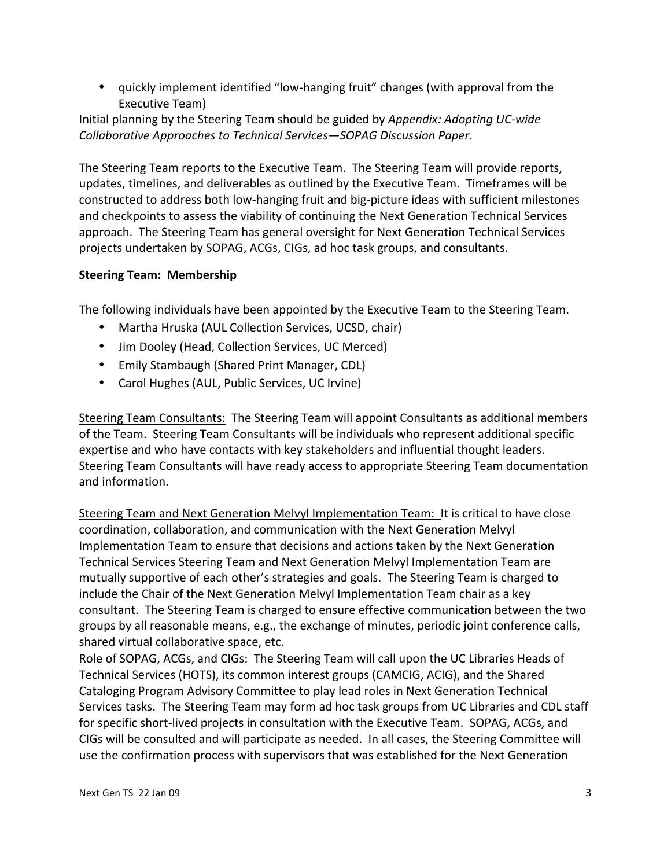• quickly implement identified "low-hanging fruit" changes (with approval from the Executive
Team)

Initial
planning
by
the
Steering
Team
should
be
guided
by *Appendix:
Adopting
UC‐wide Collaborative
Approaches
to
Technical
Services—SOPAG
Discussion
Paper*.

The Steering Team reports to the Executive Team. The Steering Team will provide reports, updates, timelines, and deliverables as outlined by the Executive Team. Timeframes will be constructed
to
address
both
low‐hanging
fruit
and
big‐picture
ideas
with
sufficient
milestones and
checkpoints
to
assess
the
viability
of
continuing
the
Next
Generation
Technical
Services approach.

The
Steering
Team
has
general
oversight
for
Next
Generation
Technical
Services projects
undertaken
by
SOPAG,
ACGs,
CIGs,
ad
hoc
task
groups,
and
consultants.

## **Steering
Team:

Membership**

The
following
individuals
have
been
appointed
by
the
Executive
Team
to
the
Steering
Team.

- Martha Hruska (AUL Collection Services, UCSD, chair)
- Jim Dooley (Head, Collection Services, UC Merced)
- Emily
Stambaugh
(Shared
Print
Manager,
CDL)
- Carol
Hughes
(AUL,
Public
Services,
UC
Irvine)

Steering
Team
Consultants:

The
Steering
Team
will
appoint
Consultants
as
additional
members of
the
Team.

Steering
Team
Consultants
will
be
individuals
who
represent
additional
specific expertise
and
who
have
contacts
with
key
stakeholders
and
influential
thought
leaders. Steering Team Consultants will have ready access to appropriate Steering Team documentation and
information.

Steering Team and Next Generation Melvyl Implementation Team: It is critical to have close coordination,
collaboration,
and
communication
with
the
Next
Generation
Melvyl Implementation Team to ensure that decisions and actions taken by the Next Generation Technical Services Steering Team and Next Generation Melvyl Implementation Team are mutually supportive of each other's strategies and goals. The Steering Team is charged to include the Chair of the Next Generation Melvyl Implementation Team chair as a key consultant. The Steering Team is charged to ensure effective communication between the two groups by all reasonable means, e.g., the exchange of minutes, periodic joint conference calls, shared
virtual
collaborative
space,
etc.

Role of SOPAG, ACGs, and CIGs: The Steering Team will call upon the UC Libraries Heads of Technical Services (HOTS), its common interest groups (CAMCIG, ACIG), and the Shared Cataloging
Program
Advisory
Committee
to
play
lead
roles
in
Next
Generation
Technical Services tasks. The Steering Team may form ad hoc task groups from UC Libraries and CDL staff for specific short-lived projects in consultation with the Executive Team. SOPAG, ACGs, and CIGs will be consulted and will participate as needed. In all cases, the Steering Committee will use
the
confirmation
process
with
supervisors
that
was
established
for
the
Next
Generation